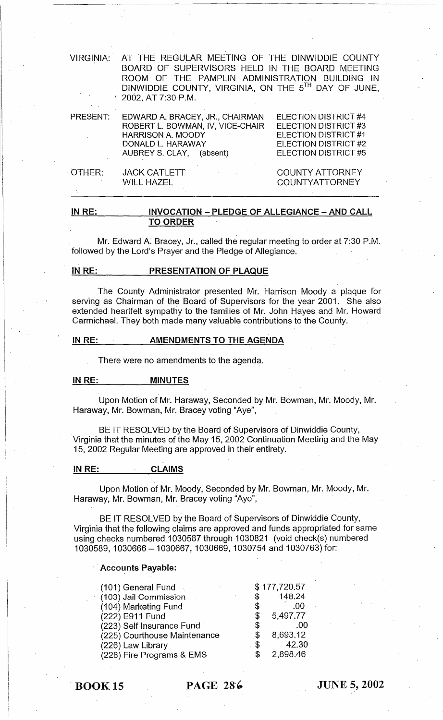| <b>VIRGINIA:</b> | AT THE REGULAR MEETING OF THE DINWIDDIE COUNTY<br>BOARD OF SUPERVISORS HELD IN THE BOARD MEETING<br>ROOM OF THE PAMPLIN ADMINISTRATION BUILDING IN<br>DINWIDDIE COUNTY, VIRGINIA, ON THE 5TH DAY OF JUNE,<br>$\pm$ 2002, AT 7:30 P.M. |                                                                                                                      |
|------------------|---------------------------------------------------------------------------------------------------------------------------------------------------------------------------------------------------------------------------------------|----------------------------------------------------------------------------------------------------------------------|
| <b>PRESENT:</b>  | EDWARD A. BRACEY, JR., CHAIRMAN<br>ROBERT L. BOWMAN, IV, VICE-CHAIR<br><b>HARRISON A. MOODY</b><br>DONALD L. HARAWAY<br>AUBREY S. CLAY, (absent)                                                                                      | ELECTION DISTRICT #4<br>ELECTION DISTRICT #3<br>ELECTION DISTRICT #1<br>ELECTION DISTRICT #2<br>ELECTION DISTRICT #5 |
| OTHER:           | <b>JACK CATLETT</b><br>$\mathcal{O}(\mathcal{O}(\log n))$ . The $\mathcal{O}(\log n)$<br><b>WILL HAZEL</b>                                                                                                                            | <b>COUNTY ATTORNEY</b><br><b>COUNTYATTORNEY</b>                                                                      |

#### IN RE: INVOCATION - PLEDGE OF ALLEGIANCE - AND CALL TO ORDER

Mr. Edward A. Bracey, Jr., called the regular meeting to order at 7:30 P.M. followed by the Lord's Prayer and the Pledge of Allegiance.

#### IN RE: PRESENTATION OF PLAQUE

The County Administrator presented Mr. Harrison Moody a plaque for serving as Chairman of the Board of Supervisors for the year 2001. She also extended heartfelt sympathy to the families of Mr. John Hayes and Mr. Howard Carmichael. They both made many valuable contributions to the County.

#### IN RE: AMENDMENTS TO THE AGENDA

. There were no amendments to the agenda.

#### IN RE: MINUTES

Upon Motion of Mr. Haraway, Seconded by Mr. Bowman, Mr. Moody, Mr. Haraway, Mr. Bowman, Mr. Bracey voting "Aye",

BE IT RESOLVED by the Board of Supervisors of Dinwiddie County, 'Virginia that the minutes of the May 15, 2002 Continuation Meeting and the May 15, 2002 Regular Meeting are approved in their entirety.

#### IN RE: CLAIMS

Upon Motion of Mr. Moody, Seconded by Mr. Bowman, Mr. Moody, Mr. Haraway, Mr. Bowman, Mr. Bracey voting "Aye",

BE IT RESOLVED by the Board of Supervisors of Dinwiddie County, Virginia that the following claims are approved and funds appropriated for same using checks numbered 1030587 through 1030821 (void check(s) numbered 1030589,1030666 - 1030667,1030669,1030754 and 1030763) for:

#### Accounts Payable:

| . (101) General Fund $\,$ .  |            | \$177,720.57 |
|------------------------------|------------|--------------|
|                              | \$         | 148.24       |
| (103) Jail Commission        |            |              |
| (104) Marketing Fund         | \$         | .00          |
| (222) E911 Fund              | \$         | 5,497.77     |
| (223) Self Insurance Fund    | \$         | .00          |
| (225) Courthouse Maintenance | \$         | 8,693.12     |
| (226) Law Library            | $\cdot$ \$ | 42.30        |
| (228) Fire Programs & EMS    | \$         | 2,898.46     |

BOOK 15 PAGE 286

JUNES, 2002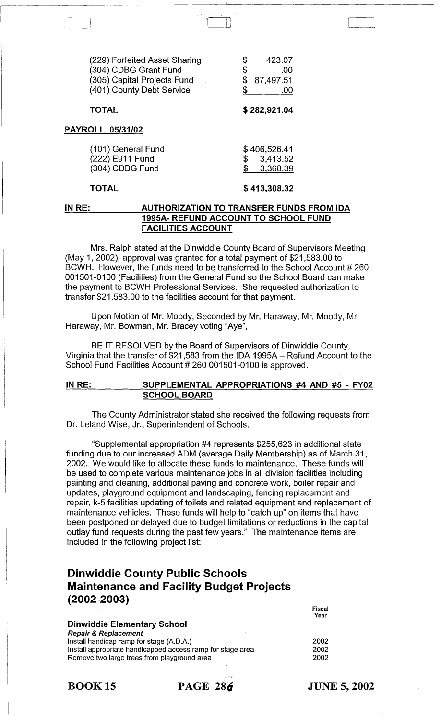| (229) Forfeited Asset Sharing<br>(304) CDBG Grant Fund<br>(305) Capital Projects Fund<br>(401) County Debt Service | \$<br>423.07<br>\$<br>.00<br>87,497.51<br>.00 |
|--------------------------------------------------------------------------------------------------------------------|-----------------------------------------------|
| <b>TOTAL</b>                                                                                                       | \$282,921.04                                  |
| <b>PAYROLL 05/31/02</b>                                                                                            |                                               |
| (101) General Fund<br>(222) E911 Fund<br>(304) CDBG Fund                                                           | \$406,526.41<br>3,413.52<br>\$<br>3,368.39    |

#### TOTAL

#### \$ 413,308.32

#### IN RE: AUTHORIZATION TO TRANSFER FUNDS FROM IDA 1995A- REFUND ACCOUNT TO SCHOOL FUND FACILITIES ACCOUNT

Mrs. Ralph stated at the Dinwiddie County Board of Supervisors Meeting (May 1,2002), approval was granted for a total payment of \$21 ,583.00 to BCWH. However, the funds need to be transferred to the School Account # 260 001501-0100 (Facilities) from the General Fund so the School Board can make the payment to BCWH Professional Services. She requested authorization to transfer \$21,583.00 to the facilities account for that payment.

Upon Motion of Mr. Moody, Seconded by Mr. Haraway, Mr. Moody, Mr. Haraway, Mr. Bowman, Mr. Bracey voting "Aye",

BE IT RESOLVED by the Board of Supervisors of Dinwiddie County, Virginia that the transfer of \$21,583 from the IDA 1995A - Refund Account to the School Fund Facilities Account # 260 001501-0100 is approved.

#### IN RE: SUPPLEMENTAL APPROPRIATIONS #4 AND #5 - FY02 SCHOOL BOARD

The County Administrator stated she received the following requests from Dr. Leland Wise, Jr., Superintendent of Schools.

"Supplemental appropriation #4 represents \$255,623 in additional state funding due to our increased ADM (average Daily Membership) as of March 31, 2002. We would like to allocate these funds to maintenance. These funds will be used to complete various maintenance jobs in all division facilities including painting and cleaning, additional paving and concrete work, boiler repair and updates, playground equipment and landscaping, fencing replacement and repair, k-5 facilities updating of toilets and related equipment and replacement of maintenance vehicles. These funds will help to "catch up" on items that have been postponed or delayed due to budget limitations or reductions in the capital outlay fund requests during the past few years." The maintenance items are included in the following project list:

# Dinwiddie County Public Schools Maintenance and Facility Budget Projects (2002-2003)

| <b>Dinwiddie Elementary School</b>                         |      |
|------------------------------------------------------------|------|
| <b>Repair &amp; Replacement</b>                            |      |
| Install handicap ramp for stage (A.D.A.)                   | 2002 |
| Install appropriate handicapped access ramp for stage area | 2002 |
| Remove two large trees from playground area                | 2002 |
|                                                            |      |

**BOOK 15 PAGE 286** 

JUNE 5, 2002

Fiscal Year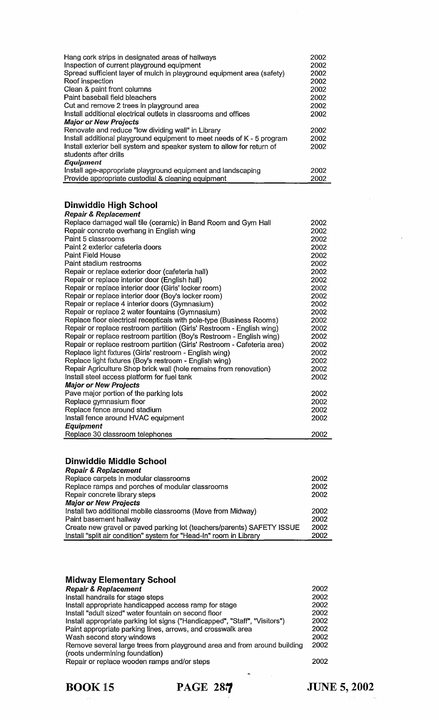| Hang cork strips in designated areas of hallways<br>Inspection of current playground equipment<br>Spread sufficient layer of mulch in playground equipment area (safety)<br>Roof inspection<br>Clean & paint front columns<br>Paint baseball field bleachers<br>Cut and remove 2 trees in playground area<br>Install additional electrical outlets in classrooms and offices<br><b>Major or New Projects</b>                                                                                                                                                                                                                                                                                                                                                                                                                                                                                                                                                                                                                                                                                                                                                                                                                                                                                                                                                                                            | 2002<br>2002<br>2002<br>2002<br>2002<br>2002<br>2002<br>2002                                                                                                                                         |
|---------------------------------------------------------------------------------------------------------------------------------------------------------------------------------------------------------------------------------------------------------------------------------------------------------------------------------------------------------------------------------------------------------------------------------------------------------------------------------------------------------------------------------------------------------------------------------------------------------------------------------------------------------------------------------------------------------------------------------------------------------------------------------------------------------------------------------------------------------------------------------------------------------------------------------------------------------------------------------------------------------------------------------------------------------------------------------------------------------------------------------------------------------------------------------------------------------------------------------------------------------------------------------------------------------------------------------------------------------------------------------------------------------|------------------------------------------------------------------------------------------------------------------------------------------------------------------------------------------------------|
| Renovate and reduce "low dividing wall" in Library<br>Install additional playground equipment to meet needs of K - 5 program<br>Install exterior bell system and speaker system to allow for return of<br>students after drills<br><b>Equipment</b>                                                                                                                                                                                                                                                                                                                                                                                                                                                                                                                                                                                                                                                                                                                                                                                                                                                                                                                                                                                                                                                                                                                                                     | 2002<br>2002<br>2002                                                                                                                                                                                 |
| Install age-appropriate playground equipment and landscaping<br>Provide appropriate custodial & cleaning equipment                                                                                                                                                                                                                                                                                                                                                                                                                                                                                                                                                                                                                                                                                                                                                                                                                                                                                                                                                                                                                                                                                                                                                                                                                                                                                      | 2002<br>2002                                                                                                                                                                                         |
| <b>Dinwiddie High School</b><br><b>Repair &amp; Replacement</b><br>Replace damaged wall tile (ceramic) in Band Room and Gym Hall<br>Repair concrete overhang in English wing<br>Paint 5 classrooms<br>Paint 2 exterior cafeteria doors<br><b>Paint Field House</b><br>Paint stadium restrooms<br>Repair or replace exterior door (cafeteria hall)<br>Repair or replace interior door (English hall)<br>Repair or replace interior door (Girls' locker room)<br>Repair or replace interior door (Boy's locker room)<br>Repair or replace 4 interior doors (Gymnasium)<br>Repair or replace 2 water fountains (Gymnasium)<br>Replace floor electrical recepticals with pole-type (Business Rooms)<br>Repair or replace restroom partition (Girls' Restroom - English wing)<br>Repair or replace restroom partition (Boy's Restroom - English wing)<br>Repair or replace restroom partition (Girls' Restroom - Cafeteria area)<br>Replace light fixtures (Girls' restroom - English wing)<br>Replace light fixtures (Boy's restroom - English wing)<br>Repair Agriculture Shop brick wall (hole remains from renovation)<br>Install steel access platform for fuel tank<br><b>Major or New Projects</b><br>Pave major portion of the parking lots<br>Replace gymnasium floor<br>Replace fence around stadium<br>Install fence around HVAC equipment<br><b>Equipment</b><br>Replace 30 classroom telephones | 2002<br>2002<br>2002<br>2002<br>2002<br>2002<br>2002<br>2002<br>2002<br>2002<br>2002<br>2002<br>2002<br>2002<br>2002<br>2002<br>2002<br>2002<br>2002<br>2002<br>2002<br>2002<br>2002<br>2002<br>2002 |
| Dinwiddie Middle School<br><b>Repair &amp; Replacement</b><br>Replace carpets in modular classrooms<br>Replace ramps and porches of modular classrooms<br>Repair concrete library steps<br><b>Major or New Projects</b><br>Install two additional mobile classrooms (Move from Midway)<br>Paint basement hallway<br>Create new gravel or paved parking lot (teachers/parents) SAFETY ISSUE<br>Install "split air condition" system for "Head-In" room in Library                                                                                                                                                                                                                                                                                                                                                                                                                                                                                                                                                                                                                                                                                                                                                                                                                                                                                                                                        | 2002<br>2002<br>2002<br>2002<br>2002<br>2002<br>2002                                                                                                                                                 |
| <b>Midway Elementary School</b><br><b>Repair &amp; Replacement</b><br>Install handrails for stage steps                                                                                                                                                                                                                                                                                                                                                                                                                                                                                                                                                                                                                                                                                                                                                                                                                                                                                                                                                                                                                                                                                                                                                                                                                                                                                                 | 2002<br>2002                                                                                                                                                                                         |

| <b>INSIAN HARVES IOI STAGE STEPS</b>                                       | ZUUZ |
|----------------------------------------------------------------------------|------|
| Install appropriate handicapped access ramp for stage                      | 2002 |
| Install "adult sized" water fountain on second floor                       | 2002 |
| Install appropriate parking lot signs ("Handicapped", "Staff", "Visitors") | 2002 |
| Paint appropriate parking lines, arrows, and crosswalk area                | 2002 |
| Wash second story windows                                                  | 2002 |
| Remove several large trees from playground area and from around building   | 2002 |
| (roots undermining foundation)                                             |      |
| Repair or replace wooden ramps and/or steps                                | 2002 |
|                                                                            |      |

 $\bar{\tau}$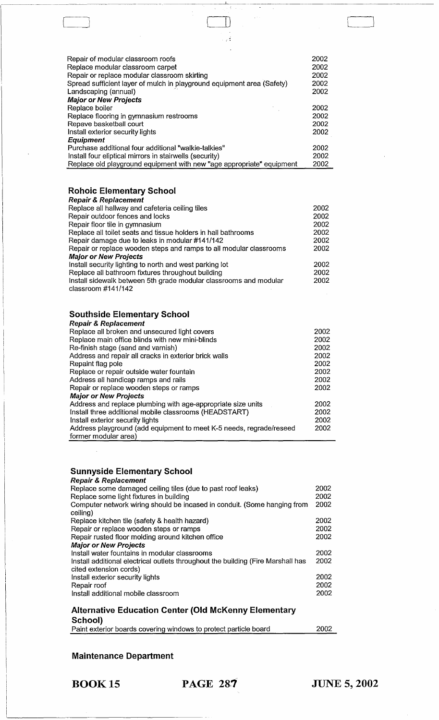| Repair of modular classroom roofs                                      | 2002 |
|------------------------------------------------------------------------|------|
| Replace modular classroom carpet                                       | 2002 |
| Repair or replace modular classroom skirting                           | 2002 |
| Spread sufficient layer of mulch in playground equipment area (Safety) | 2002 |
| Landscaping (annual)                                                   | 2002 |
| <b>Major or New Projects</b>                                           |      |
| Replace boiler                                                         | 2002 |
| Replace flooring in gymnasium restrooms                                | 2002 |
| Repave basketball court                                                | 2002 |
| Install exterior security lights                                       | 2002 |
| <b>Equipment</b>                                                       |      |
| Purchase additional four additional "walkie-talkies"                   | 2002 |
| Install four eliptical mirrors in stairwells (security)                | 2002 |
| Replace old playground equipment with new "age appropriate" equipment  | 2002 |

 $\sqcup$ 

 $\sim$   $\frac{2}{3}$ 

# **Rohoic Elementary School**

------------

| <b>Repair &amp; Replacement</b>                                                         |      |
|-----------------------------------------------------------------------------------------|------|
| Replace all hallway and cafeteria ceiling tiles                                         | 2002 |
| Repair outdoor fences and locks                                                         | 2002 |
| Repair floor tile in gymnasium                                                          | 2002 |
| Replace all toilet seats and tissue holders in hall bathrooms                           | 2002 |
| Repair damage due to leaks in modular #141/142                                          | 2002 |
| Repair or replace wooden steps and ramps to all modular classrooms                      | 2002 |
| <b>Major or New Projects</b>                                                            |      |
| Install security lighting to north and west parking lot                                 | 2002 |
| Replace all bathroom fixtures throughout building                                       | 2002 |
| Install sidewalk between 5th grade modular classrooms and modular<br>classroom #141/142 | 2002 |
|                                                                                         |      |

## **Southside Elementary School**

| <b>Repair &amp; Replacement</b>                                     |      |  |  |
|---------------------------------------------------------------------|------|--|--|
| Replace all broken and unsecured light covers                       |      |  |  |
| Replace main office blinds with new mini-blinds                     | 2002 |  |  |
| Re-finish stage (sand and varnish)                                  | 2002 |  |  |
| Address and repair all cracks in exterior brick walls               | 2002 |  |  |
| Repaint flag pole                                                   | 2002 |  |  |
| Replace or repair outside water fountain                            | 2002 |  |  |
| Address all handicap ramps and rails                                |      |  |  |
| Repair or replace wooden steps or ramps                             |      |  |  |
| <b>Major or New Projects</b>                                        |      |  |  |
| Address and replace plumbing with age-appropriate size units        | 2002 |  |  |
| Install three additional mobile classrooms (HEADSTART)              |      |  |  |
| Install exterior security lights                                    |      |  |  |
| Address playground (add equipment to meet K-5 needs, regrade/reseed |      |  |  |
| former modular area)                                                |      |  |  |

#### **Sunnyside Elementary School**

| <b>Repair &amp; Replacement</b>                                                  |      |
|----------------------------------------------------------------------------------|------|
| Replace some damaged ceiling tiles (due to past roof leaks)                      | 2002 |
| Replace some light fixtures in building                                          | 2002 |
| Computer network wiring should be incased in conduit. (Some hanging from         | 2002 |
| ceiling)                                                                         |      |
| Replace kitchen tile (safety & health hazard)                                    | 2002 |
| Repair or replace wooden steps or ramps                                          | 2002 |
| Repair rusted floor molding around kitchen office                                | 2002 |
| <b>Major or New Projects</b>                                                     |      |
| Install water fountains in modular classrooms                                    | 2002 |
| Install additional electrical outlets throughout the building (Fire Marshall has | 2002 |
| cited extension cords)                                                           |      |
| Install exterior security lights                                                 | 2002 |
| Repair roof                                                                      | 2002 |
| Install additional mobile classroom                                              | 2002 |
|                                                                                  |      |
|                                                                                  |      |

#### **Alternative Education Center (Old McKenny Elementary School)**

|  |  | Paint exterior boards covering windows to protect particle board | 2002 |
|--|--|------------------------------------------------------------------|------|
|  |  |                                                                  |      |

## **Maintenance Department**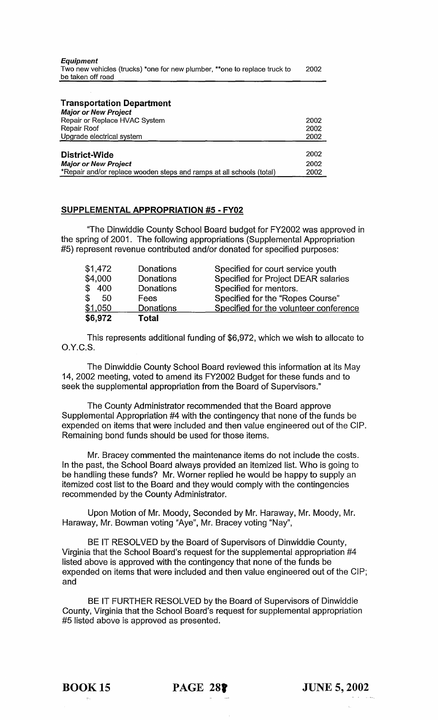| <b>Transportation Department</b><br><b>Major or New Project</b>      |      |
|----------------------------------------------------------------------|------|
| Repair or Replace HVAC System                                        | 2002 |
| Repair Roof                                                          | 2002 |
| Upgrade electrical system                                            | 2002 |
|                                                                      |      |
| District-Wide                                                        | 2002 |
| <b>Major or New Project</b>                                          | 2002 |
| *Repair and/or replace wooden steps and ramps at all schools (total) | 2002 |

#### SUPPLEMENTAL APPROPRIATION #5 - FY02

"The Dinwiddie County School Board budget for FY2002 was approved in the spring of 2001. The following appropriations (Supplemental Appropriation #5) represent revenue contributed and/or donated for specified purposes:

| \$6,972 | <b>Total</b> |                                        |
|---------|--------------|----------------------------------------|
| \$1,050 | Donations    | Specified for the volunteer conference |
| \$50    | Fees         | Specified for the "Ropes Course"       |
| \$400   | Donations    | Specified for mentors.                 |
| \$4,000 | Donations    | Specified for Project DEAR salaries    |
| \$1,472 | Donations    | Specified for court service youth      |

This represents additional funding of \$6,972, which we wish to allocate to O.Y.C.S.

The Dinwiddie County School Board reviewed this information at its May 14, 2002 meeting, voted to amend its FY2002 Budget for these funds and to seek the supplemental appropriation from the Board of Supervisors."

The County Administrator recommended that the Board approve Supplemental Appropriation #4 with the contingency that none of the funds be expended on items that were included and then value engineered out of the CIP. Remaining bond funds should be used for those items.

Mr. Bracey commented the maintenance items do not include the costs. In the past, the School Board always provided an itemized list. Who is going to be handling these funds? Mr. Worner replied he would be happy to supply an itemized cost list to the Board and they would comply with the contingencies recommended by the County Administrator.

Upon Motion of Mr. Moody, Seconded by Mr. Haraway, Mr. Moody, Mr. Haraway, Mr. Bowman voting "Aye", Mr. Bracey voting "Nay",

BE IT RESOLVED by the Board of Supervisors of Dinwiddie County, Virginia that the School Board's request for the supplemental appropriation #4 listed above is approved with the contingency that none of the funds be expended on items that were included and then value engineered out of the CIP; and

BE IT FURTHER RESOLVED by the Board of Supervisors of Dinwiddie County, Virginia that the School Board's request for supplemental appropriation #5 listed above is approved as presented.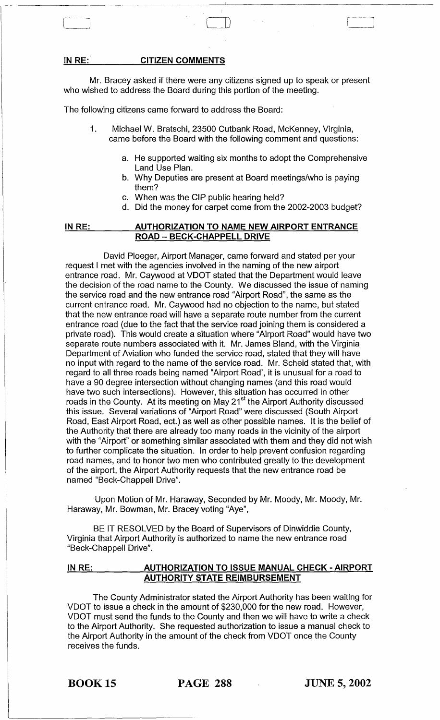#### **IN RE: CITIZEN COMMENTS**

Mr. Bracey asked if there were any citizens signed up to speak or present who wished to address the Board during this portion of the meeting.

The following citizens came forward to address the Board:

- 1. Michael W. Bratschi, 23500 Cutbank Road, McKenney, Virginia, came before the Board with the following comment and questions:
	- a. He supported waiting six months to adopt the Comprehensive Land Use Plan.
	- b. Why Deputies are present at Board meetings/who is paying them?
	- c. When was the CIP public hearing held?
	- d. Did the money for carpet come from the 2002-2003 budget?

#### **IN RE: AUTHORIZATION TO NAME NEW AIRPORT ENTRANCE ROAD - BECK-CHAPPELL DRIVE**

David Ploeger, Airport Manager, came forward and stated per your request I met with the agencies involved in the naming of the new airport entrance road. Mr. Caywood at VDOT stated that the Department would leave the decision of the road name to the County. We discussed the issue of naming the service road and the new entrance road "Airport Road", the same as the current entrance road. Mr. Caywood had no objection to the name, but stated that the new entrance road will have a separate route number from the current entrance road (due to the fact that the service road joining them is considered a private road). This would create a situation where "Airport Road" would have two separate route numbers associated with it. Mr. James Bland, with the Virginia Department of Aviation who funded the service road, stated that they will have no input with regard to the name of the service road. Mr. Scheid stated that, with regard to all three roads being named "Airport Road', it is unusual for a road to have a 90 degree intersection without changing names (and this road would have two such intersections). However, this situation has occurred in other roads in the County. At its meeting on May 21<sup>st</sup> the Airport Authority discussed this issue. Several variations of "Airport Road" were discussed (South Airport Road, East Airport Road, ect.) as well as other possible names. It is the belief of the Authority that there are already too many roads in the vicinity of the airport with the "Airport" or something similar associated with them and they did not wish to further complicate the situation. In order to help prevent confusion regarding road names, and to honor two men who contributed greatly to the development of the airport, the Airport Authority requests that the new entrance road be named "Beck-Chappell Drive".

Upon Motion of Mr. Haraway, Seconded by Mr. Moody, Mr. Moody, Mr. Haraway, Mr. Bowman, Mr. Bracey voting "Aye",

BE IT RESOLVED by the Board of Supervisors of Dinwiddie County, Virginia that Airport Authority is authorized to name the new entrance road "Beck-Chappell Drive".

#### **IN RE: AUTHORIZATION TO ISSUE MANUAL CHECK - AIRPORT AUTHORITY STATE REIMBURSEMENT**

The County Administrator stated the Airport Authority has been waiting for VDOT to issue a check in the amount of \$230,000 for the new road. However, VDOT must send the funds to the County and then we will have to write a check to the Airport Authority. She requested authorization to issue a manual check to the Airport Authority in the amount of the check from VDOT once the County receives the funds.

BOOK 15 **PAGE 288 JUNE 5,2002**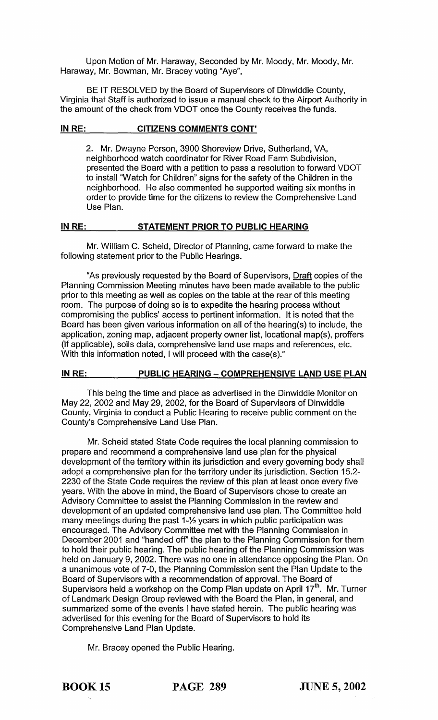Upon Motion of Mr. Haraway, Seconded by Mr. Moody, Mr. Moody, Mr. Haraway, Mr. Bowman, Mr. Bracey voting "Aye",

BE IT RESOLVED by the Board of Supervisors of Dinwiddie County, Virginia that Staff is authorized to issue a manual check to the Airport Authority in the amount of the check from VDOT once the County receives the funds.

#### **IN RE: CITIZENS COMMENTS CONT'**

2. Mr. Dwayne Person, 3900 Shoreview Drive, Sutherland, VA, neighborhood watch coordinator for River Road Farm Subdivision, presented the Board with a petition to pass a resolution to forward VDOT to install "Watch for Children" signs for the safety of the Children in the neighborhood. He also commented he supported waiting six months in order to provide time for the citizens to review the Comprehensive Land Use Plan.

#### **IN RE: STATEMENT PRIOR TO PUBLIC HEARING**

Mr. William C. Scheid, Director of Planning, came forward to make the following statement prior to the Public Hearings.

"As previously requested by the Board of Supervisors, Draft copies of the Planning Commission Meeting minutes have been made available to the public prior to this meeting as well as copies on the table at the rear of this meeting room. The purpose of doing so is to expedite the hearing process without compromising the publics' access to pertinent information. It is noted that the Board has been given various information on all of the hearing(s) to include, the application, zoning map, adjacent property owner list, locational map(s), proffers (if applicable), soils data, comprehensive land use maps and references, etc. With this information noted, I will proceed with the case(s)."

## **INRE: PUBLIC HEARING - COMPREHENSIVE LAND USE PLAN**

This being the time and place as advertised in the Dinwiddie Monitor on May 22, 2002 and May 29, 2002, for the Board of Supervisors of Dinwiddie County, Virginia to conduct a Public Hearing to receive public comment on the County's Comprehensive Land Use Plan.

Mr. Scheid stated State Code requires the local planning commission to prepare and recommend a comprehensive land use plan for the physical development of the territory within its jurisdiction and every governing body shall adopt a comprehensive plan for the territory under its jurisdiction. Section 15.2- 2230 of the State Code requires the review of this plan at least once every five years. With the above in mind, the Board of Supervisors chose to create an Advisory Committee to assist the Planning Commission in the review and development of an updated comprehensive land use plan. The Committee held many meetings during the past 1-1/<sub>2</sub> years in which public participation was encouraged. The Advisory Committee met with the Planning Commission in December 2001 and "handed off' the plan to the Planning Commission for them to hold their public hearing. The public hearing of the Planning Commission was held on January 9, 2002. There was no one in attendance opposing the Plan. On a unanimous vote of 7-0, the Planning Commission sent the Plan Update to the Board of Supervisors with a recommendation of approval. The Board of Supervisors held a workshop on the Comp Plan update on April 17<sup>th</sup>. Mr. Turner of Landmark Design Group reviewed with the Board the Plan, in general, and summarized some of the events I have stated herein. The public hearing was advertised for this evening for the Board of Supervisors to hold its Comprehensive Land Plan Update.

Mr. Bracey opened the Public Hearing.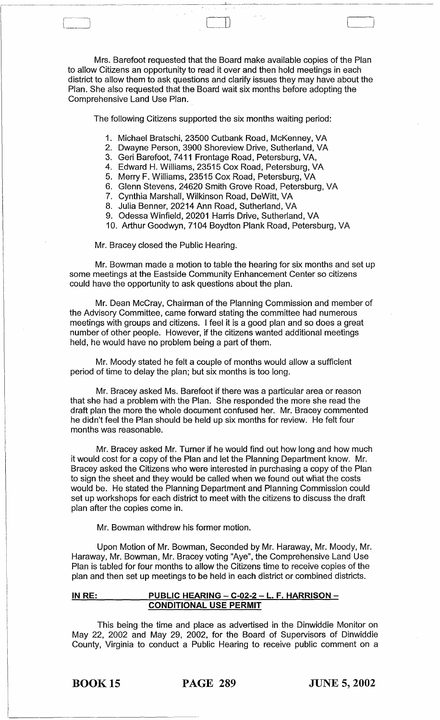Mrs. Barefoot requested that the Board make available copies of the Plan to allow Citizens an opportunity to read it over and then hold meetings in each district to allow them to ask questions and clarify issues they may have about the Plan. She also requested that the Board wait six months before adopting the Comprehensive Land Use Plan.

The following Citizens supported the six months waiting period:

- 1. Michael Bratschi, 23500 Cutbank Road, McKenney, VA
- 2. Dwayne Person, 3900 Shoreview Drive, Sutherland, VA
- 3. Geri Barefoot, 7411 Frontage Road, Petersburg, VA,
- 4. Edward H. Williams, 23515 Cox Road, Petersburg, VA
- 5. Merry F. Williams, 23515 Cox Road, Petersburg, VA
- 6. Glenn Stevens, 24620 Smith Grove Road, Petersburg, VA
- 7. Cynthia Marshall, Wilkinson Road, DeWitt, VA
- 8. Julia Benner, 20214 Ann Road, Sutherland, VA
- 9. Odessa Winfield, 20201 Harris Drive, Sutherland, VA
- 10. Arthur Goodwyn, 7104 Boydton Plank Road, Petersburg, VA

Mr. Bracey closed the Public Hearing.

r------\ " J

> Mr. Bowman made a motion to table the hearing for six months and set up some meetings at the Eastside Community Enhancement Center so citizens could have the opportunity to ask questions about the plan.

> Mr. Dean McCray, Chairman of the Planning Commission and member of the Advisory Committee, came forward stating the committee had numerous meetings with groups and citizens. I feel it is a good plan and so does a great number of other people. However, if the citizens wanted additional meetings held, he would have no problem being a part of them.

Mr. Moody stated he felt a couple of months would allow a sufficient period of time to delay the plan; but six months is too long.

Mr. Bracey asked Ms. Barefoot if there was a particular area or reason that she had a problem with the Plan. She responded the more she read the draft plan the more the whole document confused her. Mr. Bracey commented he didn't feel the Plan should be held up six months for review. He felt four months was reasonable.

Mr. Bracey asked Mr. Turner if he would find out how long and how much it would cost for a copy of the Plan and let the Planning Department know. Mr. Bracey asked the Citizens who were interested in purchasing a copy of the Plan to sign the sheet and they would be called when we found out what the costs would be. He stated the Planning Department and Planning Commission could set up workshops for each district to meet with the citizens to discuss the draft plan after the copies come in.

Mr. Bowman withdrew his former motion.

Upon Motion of Mr. Bowman, Seconded by Mr. Haraway, Mr. Moody, Mr. Haraway, Mr. Bowman, Mr. Bracey voting "Aye", the Comprehensive Land Use Plan is tabled for four months to allow the Citizens time to receive copies of the plan and then set up meetings to be held in each district or combined districts.

#### IN RE: PUBLIC HEARING - C-02-2 - L. F. HARRISON -CONDITIONAL USE PERMIT

This being the time and place as advertised in the Dinwiddie Monitor on May 22, 2002 and May 29, 2002, for the Board of Supervisors of Dinwiddie County, Virginia to conduct a Public Hearing to receive public comment on a

BOOK 15 PAGE 289 JUNE 5, 2002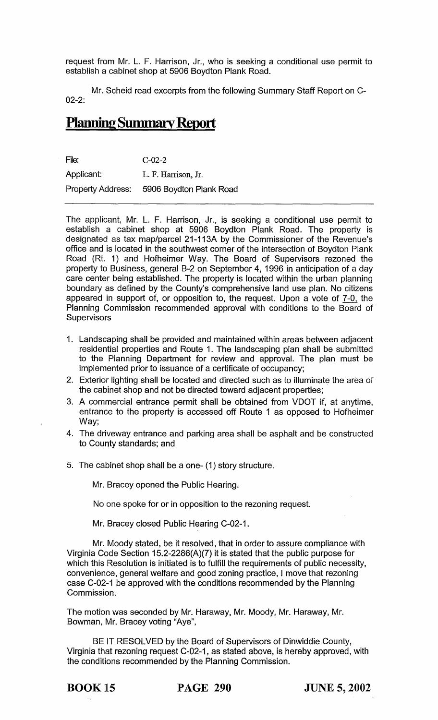request from Mr. L. F. Harrison, Jr., who is seeking a conditional use permit to establish a cabinet shop at 5906 Boydton Plank Road.

Mr. Scheid read excerpts from the following Summary Staff Report on C-02-2:

# **Planning Summary Report**

File: C-02-2 Applicant: L. F. Harrison, Jr. Property Address: 5906 Boydton Plank Road

The applicant, Mr. L. F. Harrison, Jr., is seeking a conditional use permit to establish a cabinet shop at 5906 Boydton Plank Road. The property is designated as tax map/parcel 21-113A by the Commissioner of the Revenue's office and is located in the southwest corner of the intersection of Boydton Plank Road (Rt. 1) and Hofheimer Way. The Board of Supervisors rezoned the property to Business, general B-2 on September 4, 1996 in anticipation of a day care center being established. The property is located within the urban planning boundary as defined by the County's comprehensive land use plan. No citizens appeared in support of, or opposition to, the request. Upon a vote of 7-0, the Planning Commission recommended approval with conditions to the Board of **Supervisors** 

- 1. Landscaping shall be provided and maintained within areas between adjacent residential properties and Route 1. The landscaping plan shall be submitted to the Planning Department for review and approval. The plan must be implemented prior to issuance of a certificate of occupancy;
- 2. Exterior lighting shall be located and directed such as to illuminate the area of the cabinet shop and not be directed toward adjacent properties;
- 3. A commercial entrance permit shall be obtained from VDOT if, at anytime, entrance to the property is accessed off Route 1 as opposed to Hofheimer Way;
- 4. The driveway entrance and parking area shall be asphalt and be constructed to County standards; and
- 5. The cabinet shop shall be a one- (1) story structure.

Mr. Bracey opened the Public Hearing.

No one spoke for or in opposition to the rezoning request.

Mr. Bracey closed Public Hearing C-02-1.

Mr. Moody stated, be it resolved, that in order to assure compliance with Virginia Code Section 15.2-2286(A)(7) it is stated that the public purpose for which this Resolution is initiated is to fulfill the requirements of public necessity, convenience, general welfare and good zoning practice, I move that rezoning case C-02-1 be approved with the conditions recommended by the Planning Commission.

The motion was seconded by Mr. Haraway, Mr. Moody, Mr. Haraway, Mr. Bowman, Mr. Bracey voting "Aye",

BE IT RESOLVED by the Board of Supervisors of Dinwiddie County, Virginia that rezoning request C-02-1, as stated above, is hereby approved, with the conditions recommended by the Planning Commission.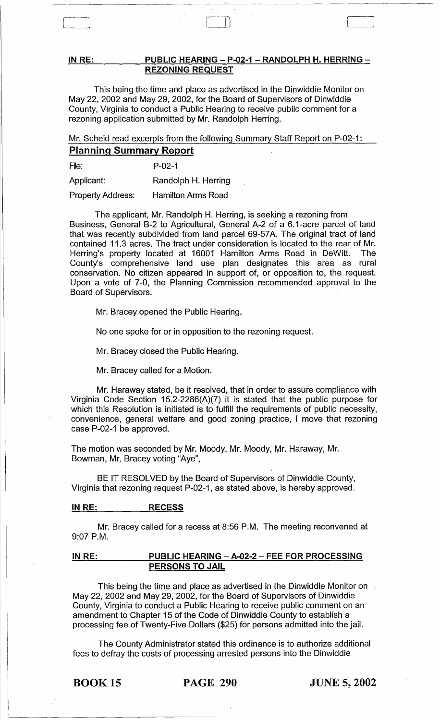#### IN RE: PUBLIC HEARING - P-02-1 - RANDOLPH H. HERRING -REZONING REQUEST

This being the time and place as advertised in the Dinwiddie Monitor on May 22, 2002 and May 29, 2002, for the Board of Supervisors of Dinwiddie County, Virginia to conduct a Public Hearing to receive public comment for a rezoning application submitted by Mr. Randolph Herring.

Mr. Scheid read excerpts from the following Summary Staff Report on P-02-1:

# Planning Summary Report

File: P-02-1

Applicant: Randolph H. Herring

Property Address: Hamilton Arms Road

The applicant, Mr. Randolph H. Herring, is seeking a rezoning from Business, General B-2 to Agricultural, General A-2 of a 6.1-acre parcel of land that was recently subdivided from land parcel 69-57A. The original tract of land contained 11.3 acres. The tract under consideration is located to the rear of Mr. Herring's property located at 16001 Hamilton Arms Road in DeWitt. The County's comprehensive land use plan designates this area as rural conservation. No citizen appeared in support of, or opposition to, the request. Upon a vote of 7-0, the Planning Commission recommended approval to the Board of Supervisors.

Mr. Bracey opened the Public Hearing.

No one spoke for or in opposition to the rezoning request.

Mr. Bracey closed the Public Hearing.

Mr. Bracey called for a Motion.

Mr. Haraway stated, be it resolved, that in order to assure compliance with Virginia Code Section 15.2-2286(A)(7) it is stated that the public purpose for which this Resolution is initiated is to fulfill the requirements of public necessity, convenience, general welfare and good zoning practice, I move that rezoning case P-02-1 be approved.

The motion was seconded by Mr. Moody, Mr. Moody, Mr. Haraway, Mr. Bowman, Mr. Bracey voting "Aye",

BE IT RESOLVED by the Board of Supervisors of Dinwiddie County, Virginia that rezoning request P-02-1, as stated above, is hereby approved.

### IN RE: RECESS

Mr. Bracey called for a recess at 8:56 P.M. The meeting reconvened at 9:07 P.M.

#### IN RE: PUBLIC HEARING - A-02-2 - FEE FOR PROCESSING PERSONS TO JAIL

This being the time and place as advertised in the Dinwiddie Monitor on May 22, 2002 and May 29, 2002, for the Board of Supervisors of Dinwiddie County, Virginia to conduct a Public Hearing to receive public comment on an amendment to Chapter 15 of the Code of Dinwiddie County to establish a processing fee of Twenty-Five Dollars (\$25) for persons admitted into the jail.

The County Administrator stated this ordinance is to authorize additional fees to defray the costs of processing arrested persons into the Dinwiddie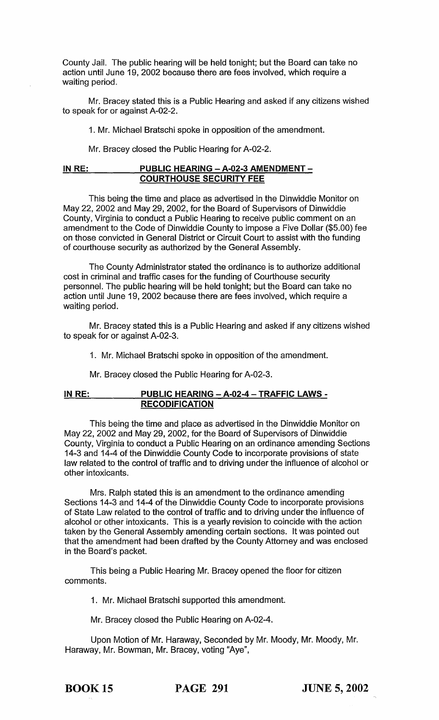county Jail. The public hearing will be held tonight; but the Board can take no action until June 19, 2002 because there are fees involved, which require a waiting period.

Mr. Bracey stated this is a Public Hearing and asked if any citizens wished to speak for or against A-02-2.

1. Mr. Michael Bratschi spoke in opposition of the amendment.

Mr. Bracey closed the Public Hearing for A-02-2.

#### **IN RE: PUBLIC HEARING - A-02-3 AMENDMENT - COURTHOUSE SECURITY FEE**

This being the time and place as advertised in the Dinwiddie Monitor on May 22,2002 and May 29,2002, for the Board of Supervisors of Dinwiddie County, Virginia to conduct a Public Hearing to receive public comment on an amendment to the Code of Dinwiddie County to impose a Five Dollar (\$5.00) fee on those convicted in General District or Circuit Court to assist with the funding of courthouse security as authorized by the General Assembly.

The County Administrator stated the ordinance is to authorize additional cost in criminal and traffic cases for the funding of Courthouse security personnel. The public hearing will be held tonight; but the Board can take no action until June 19, 2002 because there are fees involved, which require a waiting period.

Mr. Bracey stated this is a Public Hearing and asked if any citizens wished to speak for or against A-02-3.

1. Mr. Michael Bratschi spoke in opposition of the amendment.

Mr. Bracey closed the Public Hearing for A-02-3.

#### **IN RE: PUBLIC HEARING - A-02-4 - TRAFFIC LAWS - RECODIFICATION**

This being the time and place as advertised in the Dinwiddie Monitor on May 22, 2002 and May 29, 2002, for the Board of Supervisors of Dinwiddie County, Virginia to conduct a Public Hearing on an ordinance amending Sections 14-3 and 14-4 of the Dinwiddie County Code to incorporate provisions of state law related to the control of traffic and to driving under the influence of alcohol or other intoxicants.

Mrs. Ralph stated this is an amendment to the ordinance amending Sections 14-3 and 14-4 of the Dinwiddie County Code to incorporate provisions of State Law related to the control of traffic and to driving under the influence of alcohol or other intoxicants. This is a yearly revision to coincide with the action taken by the General Assembly amending certain sections. It was pointed out that the amendment had been drafted by the County Attorney and was enclosed in the Board's packet.

This being a Public Hearing Mr. Bracey opened the floor for citizen comments.

1. Mr. Michael Bratschi supported this amendment.

Mr. Bracey closed the Public Hearing on A-02-4.

Upon Motion of Mr. Haraway, Seconded by Mr. Moody, Mr. Moody, Mr. Haraway, Mr. Bowman, Mr. Bracey, voting "Aye",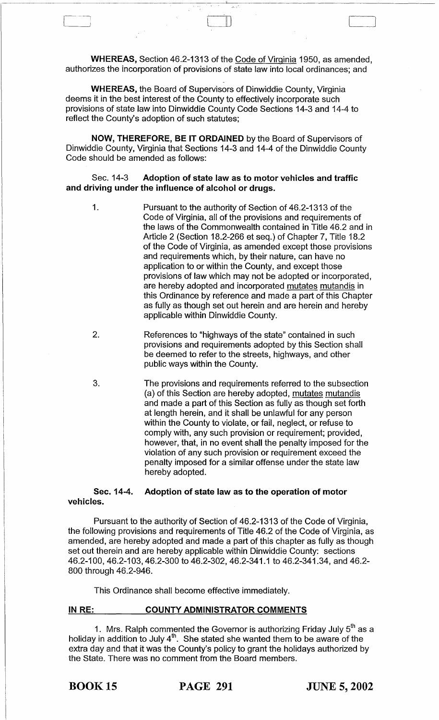WHEREAS, Section 46.2-1313 of the Code of Virginia 1950, as amended, authorizes the incorporation of provisions of state law into local ordinances; and

1---; II)

WHEREAS, the Board of Supervisors of Dinwiddie County, Virginia deems it in the best interest of the County to effectively incorporate such provisions of state law into Dinwiddie County Code Sections 14-3 and 14-4 to reflect the County's adoption of such statutes;

NOW, THEREFORE, BE IT ORDAINED by the Board of Supervisors of Dinwiddie County, Virginia that Sections 14-3 and 14-4 of the Dinwiddie County Code should be amended as follows:

#### Sec. 14-3 Adoption of state law as to motor vehicles and traffic and driving under the influence of alcohol or drugs.

1. Pursuant to the authority of Section of 46.2-1313 of the Code of Virginia, all of the provisions and requirements of the laws of the Commonwealth contained in Title 46.2 and in Article 2 (Section 18.2-266 et seq.) of Chapter 7, Title 18.2 of the Code of Virginia, as amended except those provisions and requirements which, by their nature, can have no application to or within the County, and except those provisions of law which may not be adopted or incorporated, are hereby adopted and incorporated mutates mutandis in this Ordinance by reference and made a part of this Chapter as fully as though set out herein and are herein and hereby applicable within Dinwiddie County.

- 2. References to "highways of the state" contained in such provisions and requirements adopted by this Section shall be deemed to refer to the streets, highways, and other public ways within the County.
- 3. The provisions and requirements referred to the subsection (a) of this Section are hereby adopted, mutates mutandis and made a part of this Section as fully as though set forth at length herein, and it shall be unlawful for any person within the County to violate, or fail, neglect, or refuse to comply with, any such provision or requirement; provided, however, that, in no event shall the penalty imposed for the violation of any such provision or requirement exceed the penalty imposed for a similar offense under the state law hereby adopted.

Sec. 14-4. Adoption of state law as to the operation of motor vehicles.

Pursuant to the authority of Section of 46.2-1313 of the Code of Virginia, the following provisions and requirements of Title 46.2 of the Code of Virginia, as amended, are hereby adopted and made a part of this chapter as fully as though set out therein and are hereby applicable within Dinwiddie County: sections 46.2-100,46.2-103,46.2-300 to 46.2-302,46.2-341.1 to 46.2-341.34, and 46.2- 800 through 46.2-946.

This Ordinance shall become effective immediately.

#### IN RE: COUNTY ADMINISTRATOR COMMENTS

1. Mrs. Ralph commented the Governor is authorizing Friday July  $5^{\text{th}}$  as a holiday in addition to July  $4<sup>th</sup>$ . She stated she wanted them to be aware of the extra day and that it was the County's policy to grant the holidays authorized by the State. There was no comment from the Board members.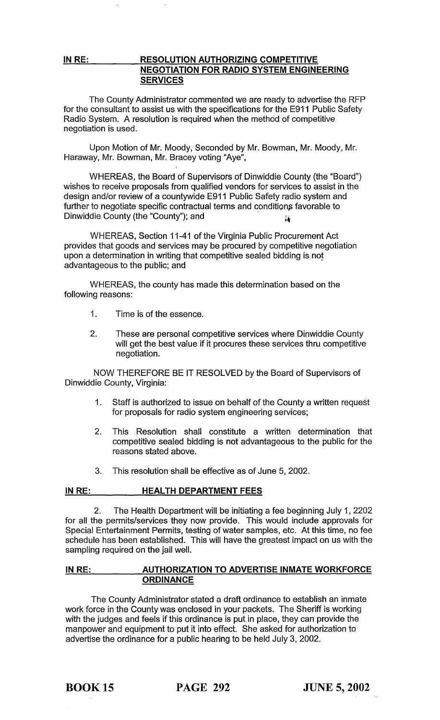### IN RE: RESOLUTION AUTHORIZING COMPETITIVE NEGOTIATION FOR RADIO SYSTEM ENGINEERING **SERVICES**

The County Administrator commented we are ready to advertise the RFP for the consultant to assist us with the specifications for the E911 Public Safety Radio System. A resolution is required when the method of competitive negotiation is used.

Upon Motion of Mr. Moody, Seconded by Mr. Bowman, Mr. Moody, Mr. Haraway, Mr. Bowman, Mr. Bracey voting "Aye",

WHEREAS, the Board of Supervisors of Dinwiddie County (the "Board") wishes to receive proposals from qualified vendors for services to assist in the design and/or review of a countywide E911 Public Safety radio system and further to negotiate specific contractual terms and conditions favorable to design and/or review of a countywide E911 Public Safety radio<br>further to negotiate specific contractual terms and conditions fa<br>Dinwiddie County (the "County"); and

WHEREAS, Section 11-41 of the Virginia Public Procurement Act provides that goods and services may be procured by competitive negotiation upon a determination in writing that competitive sealed bidding is not advantageous to the public; and

WHEREAS, the county has made this determination based on the following reasons:

- 1. Time is of the essence.
- 2. These are personal competitive services where Dinwiddie County will get the best value if it procures these services thru competitive negotiation.

NOW THEREFORE BE IT RESOLVED by the Board of Supervisors of Dinwiddie County, Virginia:

- 1. Staff is authorized to issue on behalf of the County a written request for proposals for radio system engineering services;
- 2. This Resolution shall constitute a written determination that competitive sealed bidding is not advantageous to the public for the reasons stated above.
- 3. This resolution shall be effective as of June 5, 2002.

#### IN RE: HEALTH DEPARTMENT FEES

2. The Health Department will be initiating a fee beginning July 1, 2202 for all the permits/services they now provide. This would include approvals for Special Entertainment Permits, testing of water samples, etc. At this time, no fee schedule has been established. This will have the greatest impact on us with the sampling required on the jail well.

## IN RE: AUTHORIZATION TO ADVERTISE INMATE WORKFORCE **ORDINANCE**

The County Administrator stated a draft ordinance to establish an inmate work force in the County was enclosed in your packets. The Sheriff is working with the judges and feels if this ordinance is put in place, they can provide the manpower and equipment to put it into effect. She asked for authorization to advertise the ordinance for a public hearing to be held July 3,2002.

BOOK 15 PAGE 292 JUNE 5, 2002